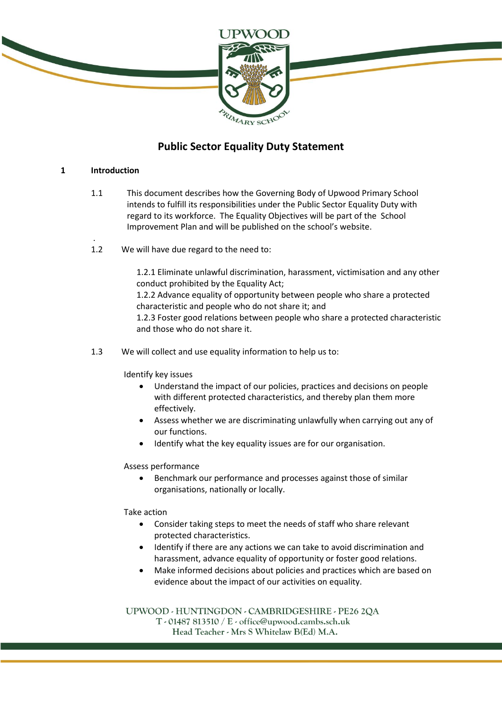

## **Public Sector Equality Duty Statement**

#### **1 Introduction**

.

- 1.1 This document describes how the Governing Body of Upwood Primary School intends to fulfill its responsibilities under the Public Sector Equality Duty with regard to its workforce. The Equality Objectives will be part of the School Improvement Plan and will be published on the school's website.
- 1.2 We will have due regard to the need to:

1.2.1 Eliminate unlawful discrimination, harassment, victimisation and any other conduct prohibited by the Equality Act;

1.2.2 Advance equality of opportunity between people who share a protected characteristic and people who do not share it; and

1.2.3 Foster good relations between people who share a protected characteristic and those who do not share it.

1.3 We will collect and use equality information to help us to:

Identify key issues

- Understand the impact of our policies, practices and decisions on people with different protected characteristics, and thereby plan them more effectively.
- Assess whether we are discriminating unlawfully when carrying out any of our functions.
- Identify what the key equality issues are for our organisation.

#### Assess performance

 Benchmark our performance and processes against those of similar organisations, nationally or locally.

#### Take action

- Consider taking steps to meet the needs of staff who share relevant protected characteristics.
- Identify if there are any actions we can take to avoid discrimination and harassment, advance equality of opportunity or foster good relations.
- Make informed decisions about policies and practices which are based on evidence about the impact of our activities on equality.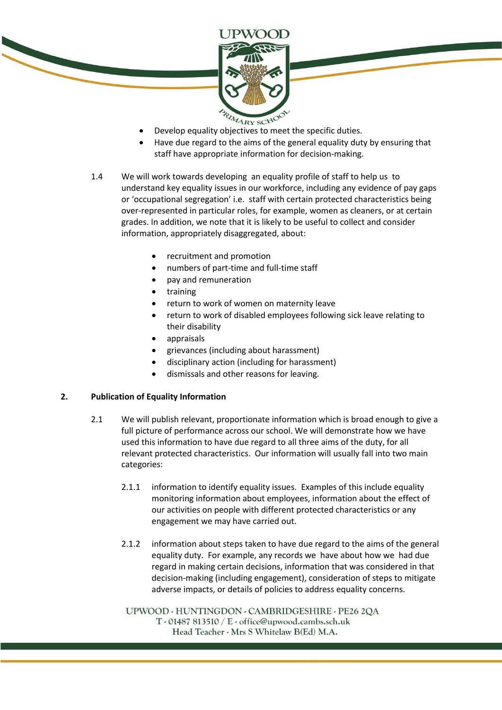

- 
- Have due regard to the aims of the general equality duty by ensuring that staff have appropriate information for decision-making.
- 1.4 We will work towards developing an equality profile of staff to help us to understand key equality issues in our workforce, including any evidence of pay gaps or 'occupational segregation' i.e. staff with certain protected characteristics being over-represented in particular roles, for example, women as cleaners, or at certain grades. In addition, we note that it is likely to be useful to collect and consider information, appropriately disaggregated, about:
	- recruitment and promotion
	- numbers of part-time and full-time staff
	- pay and remuneration
	- training
	- return to work of women on maternity leave
	- return to work of disabled employees following sick leave relating to their disability
	- appraisals
	- grievances (including about harassment)
	- disciplinary action (including for harassment)
	- dismissals and other reasons for leaving.

#### **2. Publication of Equality Information**

- 2.1 We will publish relevant, proportionate information which is broad enough to give a full picture of performance across our school. We will demonstrate how we have used this information to have due regard to all three aims of the duty, for all relevant protected characteristics. Our information will usually fall into two main categories:
	- 2.1.1 information to identify equality issues. Examples of this include equality monitoring information about employees, information about the effect of our activities on people with different protected characteristics or any engagement we may have carried out.
	- 2.1.2 information about steps taken to have due regard to the aims of the general equality duty. For example, any records we have about how we had due regard in making certain decisions, information that was considered in that decision-making (including engagement), consideration of steps to mitigate adverse impacts, or details of policies to address equality concerns.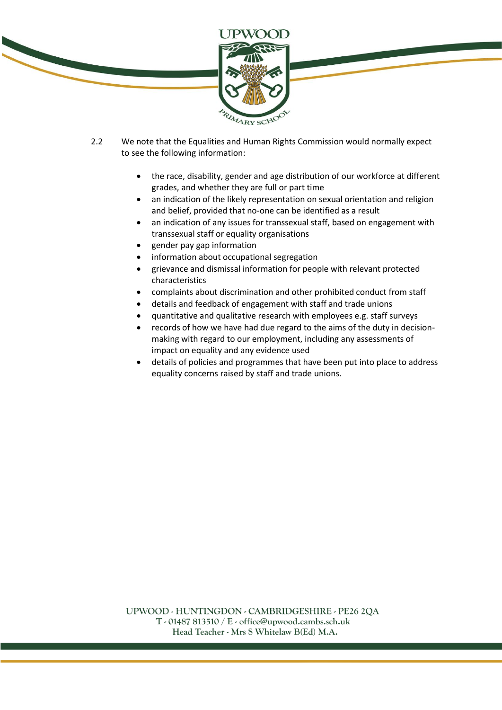

- 2.2 We note that the Equalities and Human Rights Commission would normally expect to see the following information:
	- the race, disability, gender and age distribution of our workforce at different grades, and whether they are full or part time
	- an indication of the likely representation on sexual orientation and religion and belief, provided that no-one can be identified as a result
	- an indication of any issues for transsexual staff, based on engagement with transsexual staff or equality organisations
	- gender pay gap information
	- information about occupational segregation
	- grievance and dismissal information for people with relevant protected characteristics
	- complaints about discrimination and other prohibited conduct from staff
	- details and feedback of engagement with staff and trade unions
	- quantitative and qualitative research with employees e.g. staff surveys
	- records of how we have had due regard to the aims of the duty in decisionmaking with regard to our employment, including any assessments of impact on equality and any evidence used
	- details of policies and programmes that have been put into place to address equality concerns raised by staff and trade unions.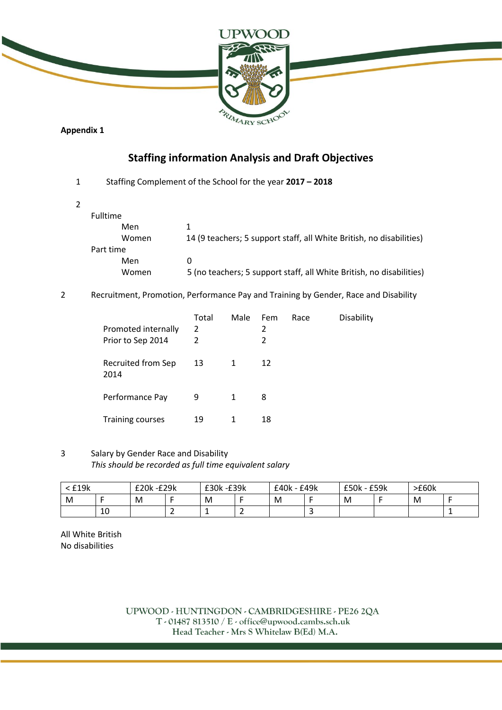

**Appendix 1**

## **Staffing information Analysis and Draft Objectives**

1 Staffing Complement of the School for the year **2017 – 2018** 

2

| Fulltime  |       |                                                                      |
|-----------|-------|----------------------------------------------------------------------|
|           | Men   |                                                                      |
|           | Women | 14 (9 teachers; 5 support staff, all White British, no disabilities) |
| Part time |       |                                                                      |
|           | Men   | $_{0}$                                                               |
|           | Women | 5 (no teachers; 5 support staff, all White British, no disabilities) |

2 Recruitment, Promotion, Performance Pay and Training by Gender, Race and Disability

| Promoted internally<br>Prior to Sep 2014 | Total<br>2<br>2 | Male | Fem<br>2<br>2 | Race | Disability |
|------------------------------------------|-----------------|------|---------------|------|------------|
| Recruited from Sep<br>2014               | 13              | 1    | 12            |      |            |
| Performance Pay                          | 9               | 1    | 8             |      |            |
| <b>Training courses</b>                  | 19              | 1    | 18            |      |            |

3 Salary by Gender Race and Disability *This should be recorded as full time equivalent salary*

| 119k <sup>∙</sup> |    | £20k-£29k |  | £30k -£39k |   | £40k - £49k |  | £50k - £59k |  | >E60k |  |
|-------------------|----|-----------|--|------------|---|-------------|--|-------------|--|-------|--|
| M                 |    | M         |  | M          |   | M           |  | M           |  | M     |  |
|                   | 10 |           |  | --         | - |             |  |             |  |       |  |

All White British No disabilities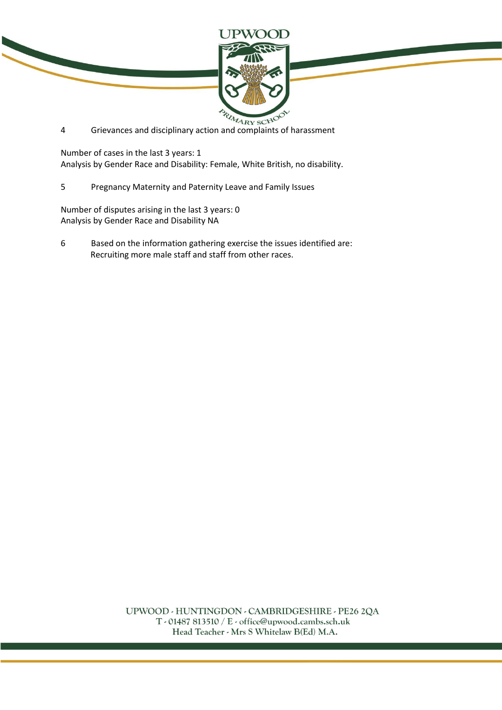

and Grievances and disciplinary action and complaints of harassment

Number of cases in the last 3 years: 1 Analysis by Gender Race and Disability: Female, White British, no disability.

5 Pregnancy Maternity and Paternity Leave and Family Issues

Number of disputes arising in the last 3 years: 0 Analysis by Gender Race and Disability NA

6 Based on the information gathering exercise the issues identified are: Recruiting more male staff and staff from other races.